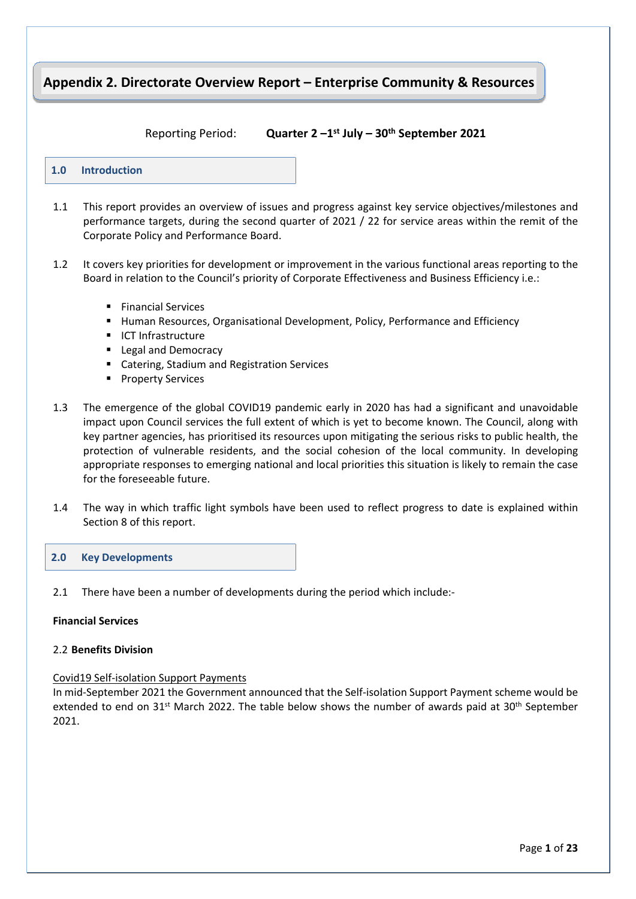# **Appendix 2. Directorate Overview Report – Enterprise Community & Resources Directorate**

#### **Reporting Period:**

**st July – 30th September 2021**



- 1.1 This report provides an overview of issues and progress against key service objectives/milestones and performance targets, during the second quarter of 2021 / 22 for service areas within the remit of the Corporate Policy and Performance Board.
- 1.2 It covers key priorities for development or improvement in the various functional areas reporting to the Board in relation to the Council's priority of Corporate Effectiveness and Business Efficiency i.e.:
	- **Financial Services**
	- **Human Resources, Organisational Development, Policy, Performance and Efficiency**
	- **ICT Infrastructure**
	- **Legal and Democracy**
	- **E** Catering, Stadium and Registration Services
	- **Property Services**
- 1.3 The emergence of the global COVID19 pandemic early in 2020 has had a significant and unavoidable impact upon Council services the full extent of which is yet to become known. The Council, along with key partner agencies, has prioritised its resources upon mitigating the serious risks to public health, the protection of vulnerable residents, and the social cohesion of the local community. In developing appropriate responses to emerging national and local priorities this situation is likely to remain the case for the foreseeable future.
- 1.4 The way in which traffic light symbols have been used to reflect progress to date is explained within Section 8 of this report.

| 2.0 Key Developments |  |
|----------------------|--|
|                      |  |

2.1 There have been a number of developments during the period which include:-

#### **Financial Services**

#### 2.2 **Benefits Division**

#### Covid19 Self-isolation Support Payments

In mid-September 2021 the Government announced that the Self-isolation Support Payment scheme would be extended to end on  $31^{st}$  March 2022. The table below shows the number of awards paid at  $30^{th}$  September 2021.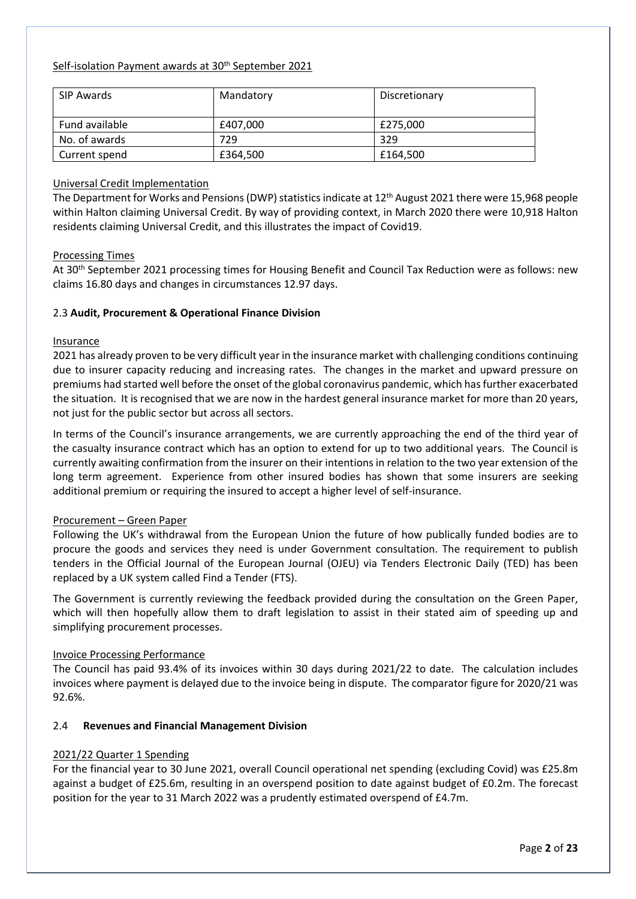#### Self-isolation Payment awards at 30<sup>th</sup> September 2021

| SIP Awards            | Mandatory | Discretionary |
|-----------------------|-----------|---------------|
| <b>Fund available</b> | £407,000  | £275,000      |
| No. of awards         | 729       | 329           |
| Current spend         | £364,500  | £164.500      |

## Universal Credit Implementation

The Department for Works and Pensions (DWP) statistics indicate at 12<sup>th</sup> August 2021 there were 15,968 people within Halton claiming Universal Credit. By way of providing context, in March 2020 there were 10,918 Halton residents claiming Universal Credit, and this illustrates the impact of Covid19.

#### Processing Times

At 30th September 2021 processing times for Housing Benefit and Council Tax Reduction were as follows: new claims 16.80 days and changes in circumstances 12.97 days.

## 2.3 **Audit, Procurement & Operational Finance Division**

#### Insurance

2021 has already proven to be very difficult year in the insurance market with challenging conditions continuing due to insurer capacity reducing and increasing rates. The changes in the market and upward pressure on premiums had started well before the onset of the global coronavirus pandemic, which has further exacerbated the situation. It is recognised that we are now in the hardest general insurance market for more than 20 years, not just for the public sector but across all sectors.

In terms of the Council's insurance arrangements, we are currently approaching the end of the third year of the casualty insurance contract which has an option to extend for up to two additional years. The Council is currently awaiting confirmation from the insurer on their intentions in relation to the two year extension of the long term agreement. Experience from other insured bodies has shown that some insurers are seeking additional premium or requiring the insured to accept a higher level of self-insurance.

#### Procurement – Green Paper

Following the UK's withdrawal from the European Union the future of how publically funded bodies are to procure the goods and services they need is under Government consultation. The requirement to publish tenders in the Official Journal of the European Journal (OJEU) via Tenders Electronic Daily (TED) has been replaced by a UK system called Find a Tender (FTS).

The Government is currently reviewing the feedback provided during the consultation on the Green Paper, which will then hopefully allow them to draft legislation to assist in their stated aim of speeding up and simplifying procurement processes.

## Invoice Processing Performance

The Council has paid 93.4% of its invoices within 30 days during 2021/22 to date. The calculation includes invoices where payment is delayed due to the invoice being in dispute. The comparator figure for 2020/21 was 92.6%.

## 2.4 **Revenues and Financial Management Division**

## 2021/22 Quarter 1 Spending

For the financial year to 30 June 2021, overall Council operational net spending (excluding Covid) was £25.8m against a budget of £25.6m, resulting in an overspend position to date against budget of £0.2m. The forecast position for the year to 31 March 2022 was a prudently estimated overspend of £4.7m.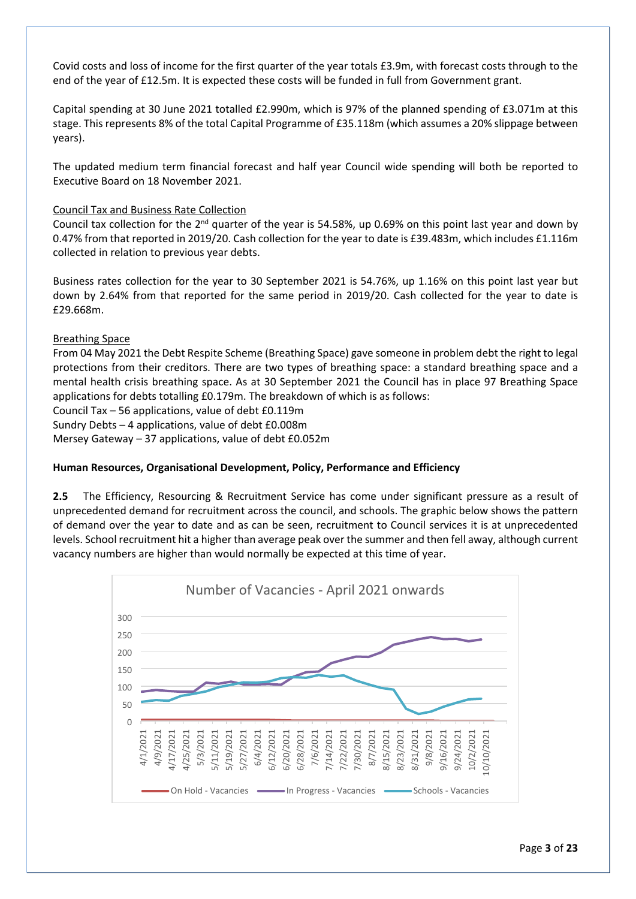Covid costs and loss of income for the first quarter of the year totals £3.9m, with forecast costs through to the end of the year of £12.5m. It is expected these costs will be funded in full from Government grant.

Capital spending at 30 June 2021 totalled £2.990m, which is 97% of the planned spending of £3.071m at this stage. This represents 8% of the total Capital Programme of £35.118m (which assumes a 20% slippage between years).

The updated medium term financial forecast and half year Council wide spending will both be reported to Executive Board on 18 November 2021.

#### Council Tax and Business Rate Collection

Council tax collection for the  $2^{nd}$  quarter of the year is 54.58%, up 0.69% on this point last year and down by 0.47% from that reported in 2019/20. Cash collection for the year to date is £39.483m, which includes £1.116m collected in relation to previous year debts.

Business rates collection for the year to 30 September 2021 is 54.76%, up 1.16% on this point last year but down by 2.64% from that reported for the same period in 2019/20. Cash collected for the year to date is £29.668m.

#### Breathing Space

From 04 May 2021 the Debt Respite Scheme (Breathing Space) gave someone in problem debt the right to legal protections from their creditors. There are two types of breathing space: a standard breathing space and a mental health crisis breathing space. As at 30 September 2021 the Council has in place 97 Breathing Space applications for debts totalling £0.179m. The breakdown of which is as follows:

Council Tax – 56 applications, value of debt £0.119m

Sundry Debts – 4 applications, value of debt £0.008m

Mersey Gateway – 37 applications, value of debt £0.052m

#### **Human Resources, Organisational Development, Policy, Performance and Efficiency**

**2.5** The Efficiency, Resourcing & Recruitment Service has come under significant pressure as a result of unprecedented demand for recruitment across the council, and schools. The graphic below shows the pattern of demand over the year to date and as can be seen, recruitment to Council services it is at unprecedented levels. School recruitment hit a higher than average peak over the summer and then fell away, although current vacancy numbers are higher than would normally be expected at this time of year.

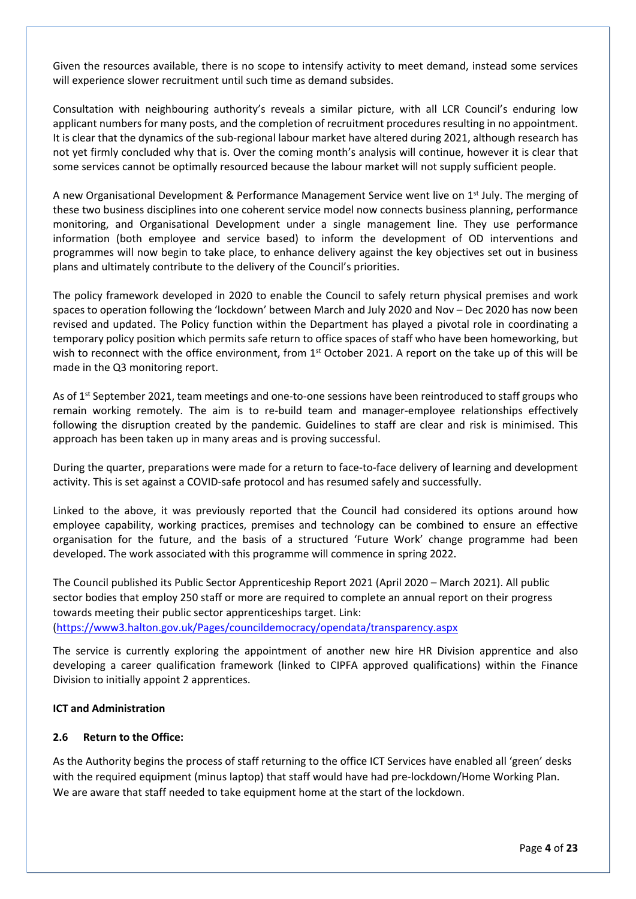Given the resources available, there is no scope to intensify activity to meet demand, instead some services will experience slower recruitment until such time as demand subsides.

Consultation with neighbouring authority's reveals a similar picture, with all LCR Council's enduring low applicant numbers for many posts, and the completion of recruitment procedures resulting in no appointment. It is clear that the dynamics of the sub-regional labour market have altered during 2021, although research has not yet firmly concluded why that is. Over the coming month's analysis will continue, however it is clear that some services cannot be optimally resourced because the labour market will not supply sufficient people.

A new Organisational Development & Performance Management Service went live on 1<sup>st</sup> July. The merging of these two business disciplines into one coherent service model now connects business planning, performance monitoring, and Organisational Development under a single management line. They use performance information (both employee and service based) to inform the development of OD interventions and programmes will now begin to take place, to enhance delivery against the key objectives set out in business plans and ultimately contribute to the delivery of the Council's priorities.

The policy framework developed in 2020 to enable the Council to safely return physical premises and work spaces to operation following the 'lockdown' between March and July 2020 and Nov – Dec 2020 has now been revised and updated. The Policy function within the Department has played a pivotal role in coordinating a temporary policy position which permits safe return to office spaces of staff who have been homeworking, but wish to reconnect with the office environment, from 1<sup>st</sup> October 2021. A report on the take up of this will be made in the Q3 monitoring report.

As of 1<sup>st</sup> September 2021, team meetings and one-to-one sessions have been reintroduced to staff groups who remain working remotely. The aim is to re-build team and manager-employee relationships effectively following the disruption created by the pandemic. Guidelines to staff are clear and risk is minimised. This approach has been taken up in many areas and is proving successful.

During the quarter, preparations were made for a return to face-to-face delivery of learning and development activity. This is set against a COVID-safe protocol and has resumed safely and successfully.

Linked to the above, it was previously reported that the Council had considered its options around how employee capability, working practices, premises and technology can be combined to ensure an effective organisation for the future, and the basis of a structured 'Future Work' change programme had been developed. The work associated with this programme will commence in spring 2022.

The Council published its Public Sector Apprenticeship Report 2021 (April 2020 – March 2021). All public sector bodies that employ 250 staff or more are required to complete an annual report on their progress towards meeting their public sector apprenticeships target. Link:

(<https://www3.halton.gov.uk/Pages/councildemocracy/opendata/transparency.aspx>

The service is currently exploring the appointment of another new hire HR Division apprentice and also developing a career qualification framework (linked to CIPFA approved qualifications) within the Finance Division to initially appoint 2 apprentices.

## **ICT and Administration**

## **2.6 Return to the Office:**

As the Authority begins the process of staff returning to the office ICT Services have enabled all 'green' desks with the required equipment (minus laptop) that staff would have had pre-lockdown/Home Working Plan. We are aware that staff needed to take equipment home at the start of the lockdown.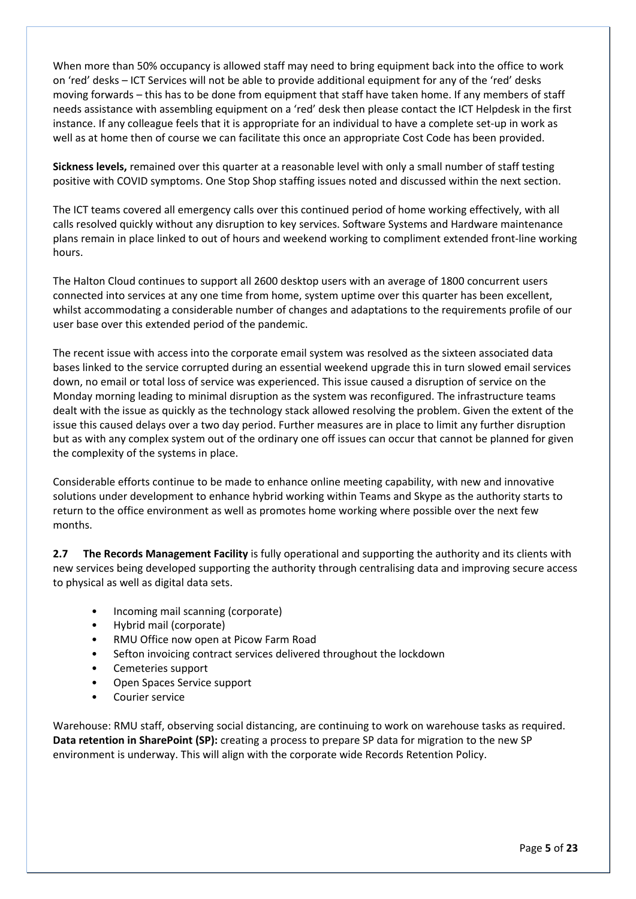When more than 50% occupancy is allowed staff may need to bring equipment back into the office to work on 'red' desks – ICT Services will not be able to provide additional equipment for any of the 'red' desks moving forwards – this has to be done from equipment that staff have taken home. If any members of staff needs assistance with assembling equipment on a 'red' desk then please contact the ICT Helpdesk in the first instance. If any colleague feels that it is appropriate for an individual to have a complete set-up in work as well as at home then of course we can facilitate this once an appropriate Cost Code has been provided.

**Sickness levels,** remained over this quarter at a reasonable level with only a small number of staff testing positive with COVID symptoms. One Stop Shop staffing issues noted and discussed within the next section.

The ICT teams covered all emergency calls over this continued period of home working effectively, with all calls resolved quickly without any disruption to key services. Software Systems and Hardware maintenance plans remain in place linked to out of hours and weekend working to compliment extended front-line working hours.

The Halton Cloud continues to support all 2600 desktop users with an average of 1800 concurrent users connected into services at any one time from home, system uptime over this quarter has been excellent, whilst accommodating a considerable number of changes and adaptations to the requirements profile of our user base over this extended period of the pandemic.

The recent issue with access into the corporate email system was resolved as the sixteen associated data bases linked to the service corrupted during an essential weekend upgrade this in turn slowed email services down, no email or total loss of service was experienced. This issue caused a disruption of service on the Monday morning leading to minimal disruption as the system was reconfigured. The infrastructure teams dealt with the issue as quickly as the technology stack allowed resolving the problem. Given the extent of the issue this caused delays over a two day period. Further measures are in place to limit any further disruption but as with any complex system out of the ordinary one off issues can occur that cannot be planned for given the complexity of the systems in place.

Considerable efforts continue to be made to enhance online meeting capability, with new and innovative solutions under development to enhance hybrid working within Teams and Skype as the authority starts to return to the office environment as well as promotes home working where possible over the next few months.

**2.7 The Records Management Facility** is fully operational and supporting the authority and its clients with new services being developed supporting the authority through centralising data and improving secure access to physical as well as digital data sets.

- Incoming mail scanning (corporate)
- Hybrid mail (corporate)
- RMU Office now open at Picow Farm Road
- Sefton invoicing contract services delivered throughout the lockdown
- Cemeteries support
- Open Spaces Service support
- Courier service

Warehouse: RMU staff, observing social distancing, are continuing to work on warehouse tasks as required. **Data retention in SharePoint (SP):** creating a process to prepare SP data for migration to the new SP environment is underway. This will align with the corporate wide Records Retention Policy.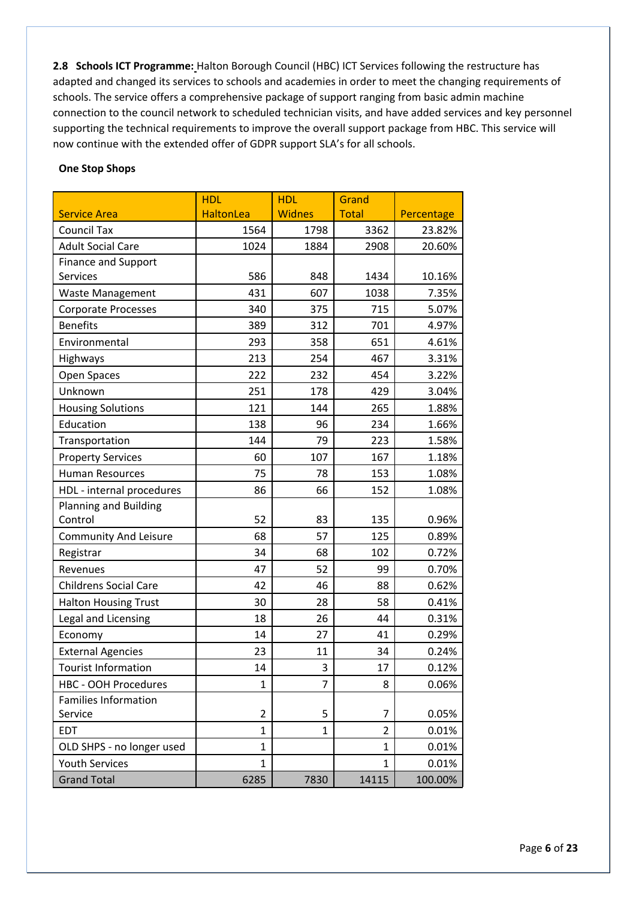**2.8 Schools ICT Programme:** Halton Borough Council (HBC) ICT Services following the restructure has adapted and changed its services to schools and academies in order to meet the changing requirements of schools. The service offers a comprehensive package of support ranging from basic admin machine connection to the council network to scheduled technician visits, and have added services and key personnel supporting the technical requirements to improve the overall support package from HBC. This service will now continue with the extended offer of GDPR support SLA's for all schools.

#### **One Stop Shops**

|                              | <b>HDL</b>       | <b>HDL</b>    | Grand          |            |
|------------------------------|------------------|---------------|----------------|------------|
| <b>Service Area</b>          | <b>HaltonLea</b> | <b>Widnes</b> | <b>Total</b>   | Percentage |
| <b>Council Tax</b>           | 1564             | 1798          | 3362           | 23.82%     |
| <b>Adult Social Care</b>     | 1024             | 1884          | 2908           | 20.60%     |
| <b>Finance and Support</b>   |                  |               |                |            |
| Services                     | 586              | 848           | 1434           | 10.16%     |
| Waste Management             | 431              | 607           | 1038           | 7.35%      |
| Corporate Processes          | 340              | 375           | 715            | 5.07%      |
| <b>Benefits</b>              | 389              | 312           | 701            | 4.97%      |
| Environmental                | 293              | 358           | 651            | 4.61%      |
| Highways                     | 213              | 254           | 467            | 3.31%      |
| Open Spaces                  | 222              | 232           | 454            | 3.22%      |
| Unknown                      | 251              | 178           | 429            | 3.04%      |
| <b>Housing Solutions</b>     | 121              | 144           | 265            | 1.88%      |
| Education                    | 138              | 96            | 234            | 1.66%      |
| Transportation               | 144              | 79            | 223            | 1.58%      |
| <b>Property Services</b>     | 60               | 107           | 167            | 1.18%      |
| <b>Human Resources</b>       | 75               | 78            | 153            | 1.08%      |
| HDL - internal procedures    | 86               | 66            | 152            | 1.08%      |
| <b>Planning and Building</b> |                  |               |                |            |
| Control                      | 52               | 83            | 135            | 0.96%      |
| <b>Community And Leisure</b> | 68               | 57            | 125            | 0.89%      |
| Registrar                    | 34               | 68            | 102            | 0.72%      |
| Revenues                     | 47               | 52            | 99             | 0.70%      |
| <b>Childrens Social Care</b> | 42               | 46            | 88             | 0.62%      |
| <b>Halton Housing Trust</b>  | 30               | 28            | 58             | 0.41%      |
| Legal and Licensing          | 18               | 26            | 44             | 0.31%      |
| Economy                      | 14               | 27            | 41             | 0.29%      |
| <b>External Agencies</b>     | 23               | 11            | 34             | 0.24%      |
| <b>Tourist Information</b>   | 14               | 3             | 17             | 0.12%      |
| <b>HBC - OOH Procedures</b>  | $\mathbf{1}$     | 7             | 8              | 0.06%      |
| <b>Families Information</b>  |                  |               |                |            |
| Service                      | $\overline{2}$   | 5             | 7              | 0.05%      |
| EDT                          | $\mathbf{1}$     | $\mathbf{1}$  | $\overline{2}$ | 0.01%      |
| OLD SHPS - no longer used    | 1                |               | 1              | 0.01%      |
| <b>Youth Services</b>        | $\mathbf{1}$     |               | $\mathbf{1}$   | 0.01%      |
| <b>Grand Total</b>           | 6285             | 7830          | 14115          | 100.00%    |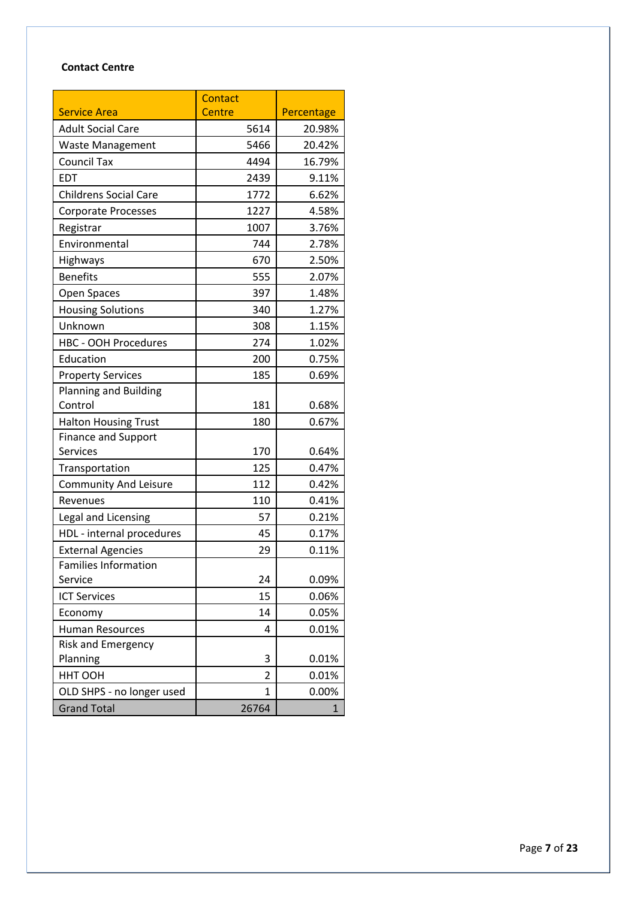# **Contact Centre**

|                              | <b>Contact</b> |              |
|------------------------------|----------------|--------------|
| <b>Service Area</b>          | <b>Centre</b>  | Percentage   |
| <b>Adult Social Care</b>     | 5614           | 20.98%       |
| <b>Waste Management</b>      | 5466           | 20.42%       |
| <b>Council Tax</b>           | 4494           | 16.79%       |
| <b>EDT</b>                   | 2439           | 9.11%        |
| <b>Childrens Social Care</b> | 1772           | 6.62%        |
| <b>Corporate Processes</b>   | 1227           | 4.58%        |
| Registrar                    | 1007           | 3.76%        |
| Environmental                | 744            | 2.78%        |
| Highways                     | 670            | 2.50%        |
| <b>Benefits</b>              | 555            | 2.07%        |
| Open Spaces                  | 397            | 1.48%        |
| <b>Housing Solutions</b>     | 340            | 1.27%        |
| Unknown                      | 308            | 1.15%        |
| <b>HBC - OOH Procedures</b>  | 274            | 1.02%        |
| Education                    | 200            | 0.75%        |
| <b>Property Services</b>     | 185            | 0.69%        |
| <b>Planning and Building</b> |                |              |
| Control                      | 181            | 0.68%        |
| <b>Halton Housing Trust</b>  | 180            | 0.67%        |
| <b>Finance and Support</b>   |                |              |
| <b>Services</b>              | 170            | 0.64%        |
| Transportation               | 125            | 0.47%        |
| <b>Community And Leisure</b> | 112            | 0.42%        |
| Revenues                     | 110            | 0.41%        |
| Legal and Licensing          | 57             | 0.21%        |
| HDL - internal procedures    | 45             | 0.17%        |
| <b>External Agencies</b>     | 29             | 0.11%        |
| <b>Families Information</b>  |                |              |
| Service                      | 24             | 0.09%        |
| <b>ICT Services</b>          | 15             | 0.06%        |
| Economy                      | 14             | 0.05%        |
| <b>Human Resources</b>       | 4              | 0.01%        |
| Risk and Emergency           |                |              |
| Planning                     | 3              | 0.01%        |
| HHT OOH                      | 2              | 0.01%        |
| OLD SHPS - no longer used    | 1              | 0.00%        |
| <b>Grand Total</b>           | 26764          | $\mathbf{1}$ |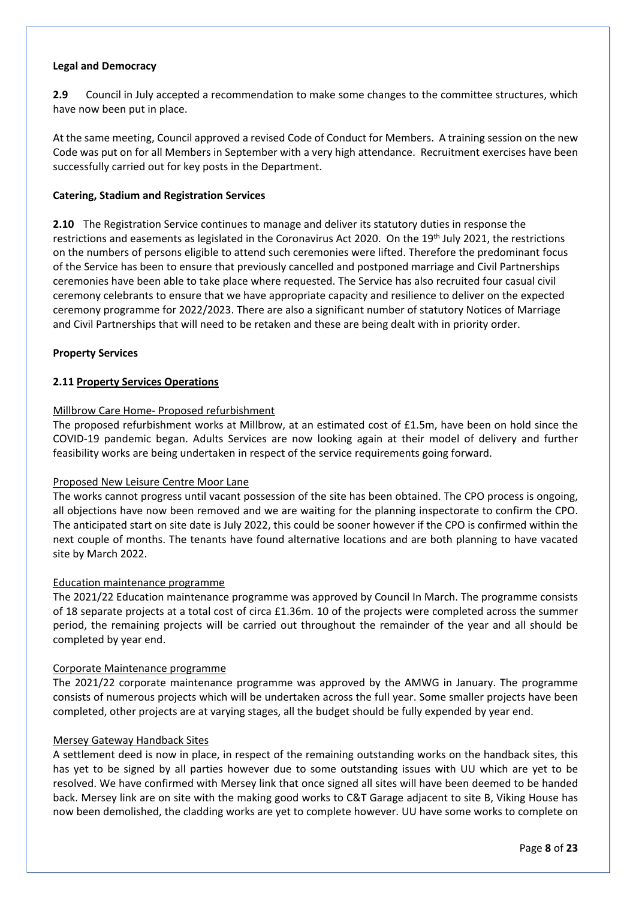#### **Legal and Democracy**

**2.9** Council in July accepted a recommendation to make some changes to the committee structures, which have now been put in place.

At the same meeting, Council approved a revised Code of Conduct for Members. A training session on the new Code was put on for all Members in September with a very high attendance. Recruitment exercises have been successfully carried out for key posts in the Department.

#### **Catering, Stadium and Registration Services**

**2.10** The Registration Service continues to manage and deliver its statutory duties in response the restrictions and easements as legislated in the Coronavirus Act 2020. On the 19th July 2021, the restrictions on the numbers of persons eligible to attend such ceremonies were lifted. Therefore the predominant focus of the Service has been to ensure that previously cancelled and postponed marriage and Civil Partnerships ceremonies have been able to take place where requested. The Service has also recruited four casual civil ceremony celebrants to ensure that we have appropriate capacity and resilience to deliver on the expected ceremony programme for 2022/2023. There are also a significant number of statutory Notices of Marriage and Civil Partnerships that will need to be retaken and these are being dealt with in priority order.

#### **Property Services**

## **2.11 Property Services Operations**

#### Millbrow Care Home- Proposed refurbishment

The proposed refurbishment works at Millbrow, at an estimated cost of £1.5m, have been on hold since the COVID-19 pandemic began. Adults Services are now looking again at their model of delivery and further feasibility works are being undertaken in respect of the service requirements going forward.

#### Proposed New Leisure Centre Moor Lane

The works cannot progress until vacant possession of the site has been obtained. The CPO process is ongoing, all objections have now been removed and we are waiting for the planning inspectorate to confirm the CPO. The anticipated start on site date is July 2022, this could be sooner however if the CPO is confirmed within the next couple of months. The tenants have found alternative locations and are both planning to have vacated site by March 2022.

#### Education maintenance programme

The 2021/22 Education maintenance programme was approved by Council In March. The programme consists of 18 separate projects at a total cost of circa £1.36m. 10 of the projects were completed across the summer period, the remaining projects will be carried out throughout the remainder of the year and all should be completed by year end.

#### Corporate Maintenance programme

The 2021/22 corporate maintenance programme was approved by the AMWG in January. The programme consists of numerous projects which will be undertaken across the full year. Some smaller projects have been completed, other projects are at varying stages, all the budget should be fully expended by year end.

#### Mersey Gateway Handback Sites

A settlement deed is now in place, in respect of the remaining outstanding works on the handback sites, this has yet to be signed by all parties however due to some outstanding issues with UU which are yet to be resolved. We have confirmed with Mersey link that once signed all sites will have been deemed to be handed back. Mersey link are on site with the making good works to C&T Garage adjacent to site B, Viking House has now been demolished, the cladding works are yet to complete however. UU have some works to complete on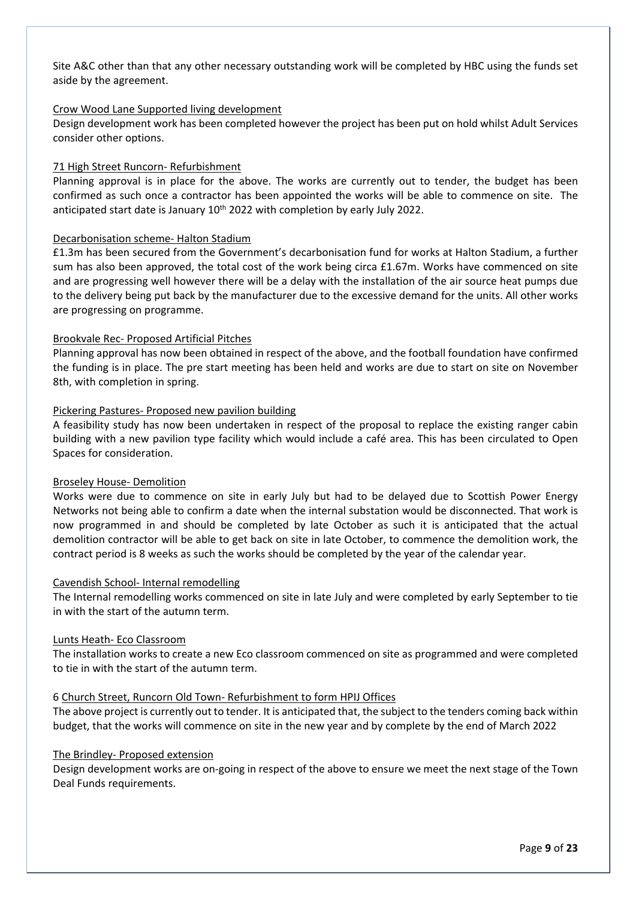Site A&C other than that any other necessary outstanding work will be completed by HBC using the funds set aside by the agreement.

#### Crow Wood Lane Supported living development

Design development work has been completed however the project has been put on hold whilst Adult Services consider other options.

#### 71 High Street Runcorn- Refurbishment

Planning approval is in place for the above. The works are currently out to tender, the budget has been confirmed as such once a contractor has been appointed the works will be able to commence on site. The anticipated start date is January  $10<sup>th</sup>$  2022 with completion by early July 2022.

#### Decarbonisation scheme- Halton Stadium

£1.3m has been secured from the Government's decarbonisation fund for works at Halton Stadium, a further sum has also been approved, the total cost of the work being circa £1.67m. Works have commenced on site and are progressing well however there will be a delay with the installation of the air source heat pumps due to the delivery being put back by the manufacturer due to the excessive demand for the units. All other works are progressing on programme.

#### Brookvale Rec- Proposed Artificial Pitches

Planning approval has now been obtained in respect of the above, and the football foundation have confirmed the funding is in place. The pre start meeting has been held and works are due to start on site on November 8th, with completion in spring.

#### Pickering Pastures- Proposed new pavilion building

A feasibility study has now been undertaken in respect of the proposal to replace the existing ranger cabin building with a new pavilion type facility which would include a café area. This has been circulated to Open Spaces for consideration.

#### Broseley House- Demolition

Works were due to commence on site in early July but had to be delayed due to Scottish Power Energy Networks not being able to confirm a date when the internal substation would be disconnected. That work is now programmed in and should be completed by late October as such it is anticipated that the actual demolition contractor will be able to get back on site in late October, to commence the demolition work, the contract period is 8 weeks as such the works should be completed by the year of the calendar year.

#### Cavendish School- Internal remodelling

The Internal remodelling works commenced on site in late July and were completed by early September to tie in with the start of the autumn term.

#### Lunts Heath- Eco Classroom

The installation works to create a new Eco classroom commenced on site as programmed and were completed to tie in with the start of the autumn term.

#### 6 Church Street, Runcorn Old Town- Refurbishment to form HPIJ Offices

The above project is currently out to tender. It is anticipated that, the subject to the tenders coming back within budget, that the works will commence on site in the new year and by complete by the end of March 2022

#### The Brindley- Proposed extension

Design development works are on-going in respect of the above to ensure we meet the next stage of the Town Deal Funds requirements.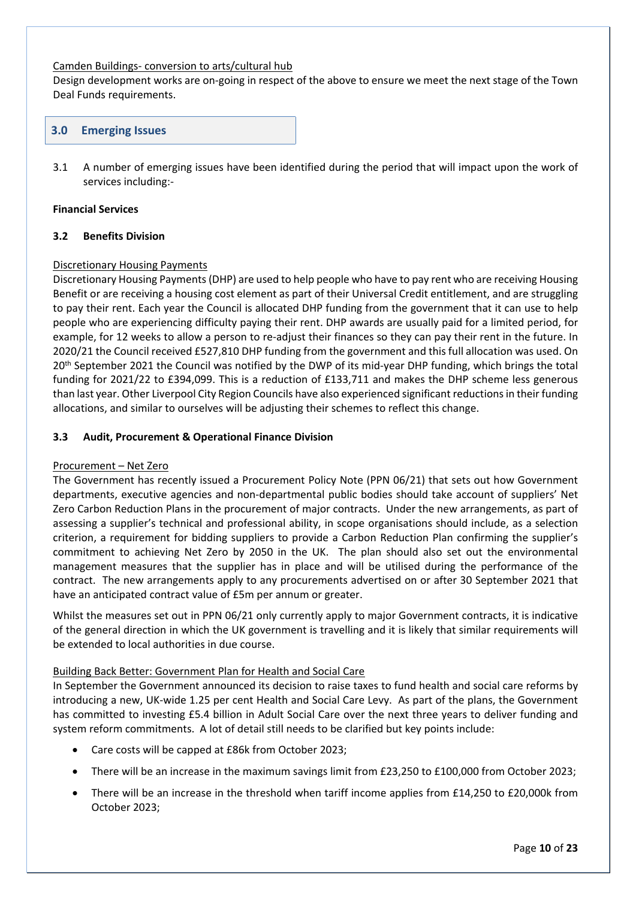#### Camden Buildings- conversion to arts/cultural hub

Design development works are on-going in respect of the above to ensure we meet the next stage of the Town Deal Funds requirements.

# **3.0 Emerging Issues**

3.1 A number of emerging issues have been identified during the period that will impact upon the work of services including:-

#### **Financial Services**

#### **3.2 Benefits Division**

## Discretionary Housing Payments

Discretionary Housing Payments(DHP) are used to help people who have to pay rent who are receiving Housing Benefit or are receiving a housing cost element as part of their Universal Credit entitlement, and are struggling to pay their rent. Each year the Council is allocated DHP funding from the government that it can use to help people who are experiencing difficulty paying their rent. DHP awards are usually paid for a limited period, for example, for 12 weeks to allow a person to re-adjust their finances so they can pay their rent in the future. In 2020/21 the Council received £527,810 DHP funding from the government and this full allocation was used. On 20<sup>th</sup> September 2021 the Council was notified by the DWP of its mid-year DHP funding, which brings the total funding for 2021/22 to £394,099. This is a reduction of £133,711 and makes the DHP scheme less generous than last year. Other Liverpool City Region Councils have also experienced significant reductionsin their funding allocations, and similar to ourselves will be adjusting their schemes to reflect this change.

#### **3.3 Audit, Procurement & Operational Finance Division**

#### Procurement – Net Zero

The Government has recently issued a Procurement Policy Note (PPN 06/21) that sets out how Government departments, executive agencies and non-departmental public bodies should take account of suppliers' Net Zero Carbon Reduction Plans in the procurement of major contracts. Under the new arrangements, as part of assessing a supplier's technical and professional ability, in scope organisations should include, as a selection criterion, a requirement for bidding suppliers to provide a Carbon Reduction Plan confirming the supplier's commitment to achieving Net Zero by 2050 in the UK. The plan should also set out the environmental management measures that the supplier has in place and will be utilised during the performance of the contract. The new arrangements apply to any procurements advertised on or after 30 September 2021 that have an anticipated contract value of £5m per annum or greater.

Whilst the measures set out in PPN 06/21 only currently apply to major Government contracts, it is indicative of the general direction in which the UK government is travelling and it is likely that similar requirements will be extended to local authorities in due course.

## Building Back Better: Government Plan for Health and Social Care

In September the Government announced its decision to raise taxes to fund health and social care reforms by introducing a new, UK-wide 1.25 per cent Health and Social Care Levy. As part of the plans, the Government has committed to investing £5.4 billion in Adult Social Care over the next three years to deliver funding and system reform commitments. A lot of detail still needs to be clarified but key points include:

- Care costs will be capped at £86k from October 2023;
- There will be an increase in the maximum savings limit from £23,250 to £100,000 from October 2023;
- There will be an increase in the threshold when tariff income applies from £14,250 to £20,000k from October 2023;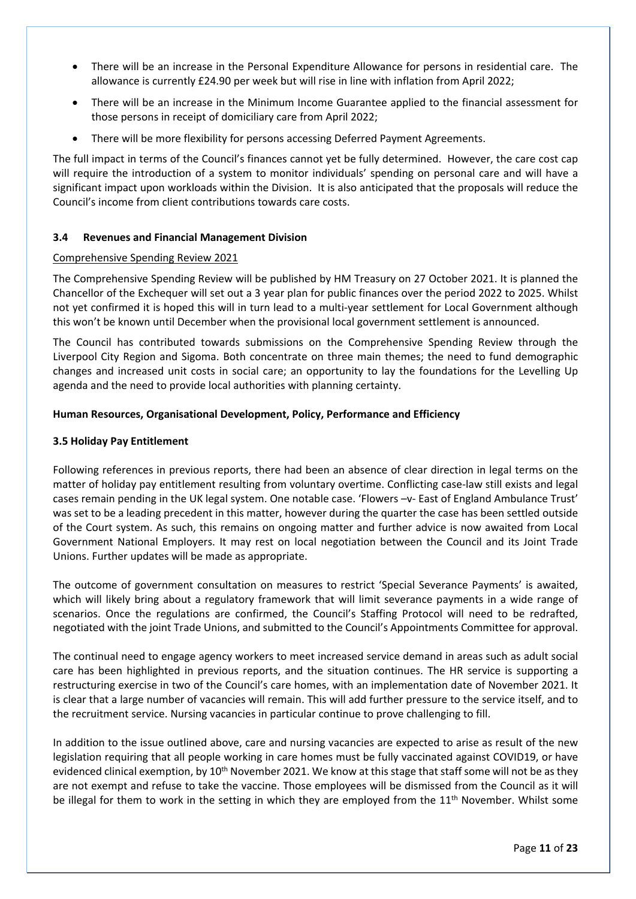- There will be an increase in the Personal Expenditure Allowance for persons in residential care. The allowance is currently £24.90 per week but will rise in line with inflation from April 2022;
- There will be an increase in the Minimum Income Guarantee applied to the financial assessment for those persons in receipt of domiciliary care from April 2022;
- There will be more flexibility for persons accessing Deferred Payment Agreements.

The full impact in terms of the Council's finances cannot yet be fully determined. However, the care cost cap will require the introduction of a system to monitor individuals' spending on personal care and will have a significant impact upon workloads within the Division. It is also anticipated that the proposals will reduce the Council's income from client contributions towards care costs.

## **3.4 Revenues and Financial Management Division**

#### Comprehensive Spending Review 2021

The Comprehensive Spending Review will be published by HM Treasury on 27 October 2021. It is planned the Chancellor of the Exchequer will set out a 3 year plan for public finances over the period 2022 to 2025. Whilst not yet confirmed it is hoped this will in turn lead to a multi-year settlement for Local Government although this won't be known until December when the provisional local government settlement is announced.

The Council has contributed towards submissions on the Comprehensive Spending Review through the Liverpool City Region and Sigoma. Both concentrate on three main themes; the need to fund demographic changes and increased unit costs in social care; an opportunity to lay the foundations for the Levelling Up agenda and the need to provide local authorities with planning certainty.

#### **Human Resources, Organisational Development, Policy, Performance and Efficiency**

#### **3.5 Holiday Pay Entitlement**

Following references in previous reports, there had been an absence of clear direction in legal terms on the matter of holiday pay entitlement resulting from voluntary overtime. Conflicting case-law still exists and legal cases remain pending in the UK legal system. One notable case. 'Flowers –v- East of England Ambulance Trust' was set to be a leading precedent in this matter, however during the quarter the case has been settled outside of the Court system. As such, this remains on ongoing matter and further advice is now awaited from Local Government National Employers. It may rest on local negotiation between the Council and its Joint Trade Unions. Further updates will be made as appropriate.

The outcome of government consultation on measures to restrict 'Special Severance Payments' is awaited, which will likely bring about a regulatory framework that will limit severance payments in a wide range of scenarios. Once the regulations are confirmed, the Council's Staffing Protocol will need to be redrafted, negotiated with the joint Trade Unions, and submitted to the Council's Appointments Committee for approval.

The continual need to engage agency workers to meet increased service demand in areas such as adult social care has been highlighted in previous reports, and the situation continues. The HR service is supporting a restructuring exercise in two of the Council's care homes, with an implementation date of November 2021. It is clear that a large number of vacancies will remain. This will add further pressure to the service itself, and to the recruitment service. Nursing vacancies in particular continue to prove challenging to fill.

In addition to the issue outlined above, care and nursing vacancies are expected to arise as result of the new legislation requiring that all people working in care homes must be fully vaccinated against COVID19, or have evidenced clinical exemption, by 10<sup>th</sup> November 2021. We know at this stage that staff some will not be as they are not exempt and refuse to take the vaccine. Those employees will be dismissed from the Council as it will be illegal for them to work in the setting in which they are employed from the 11<sup>th</sup> November. Whilst some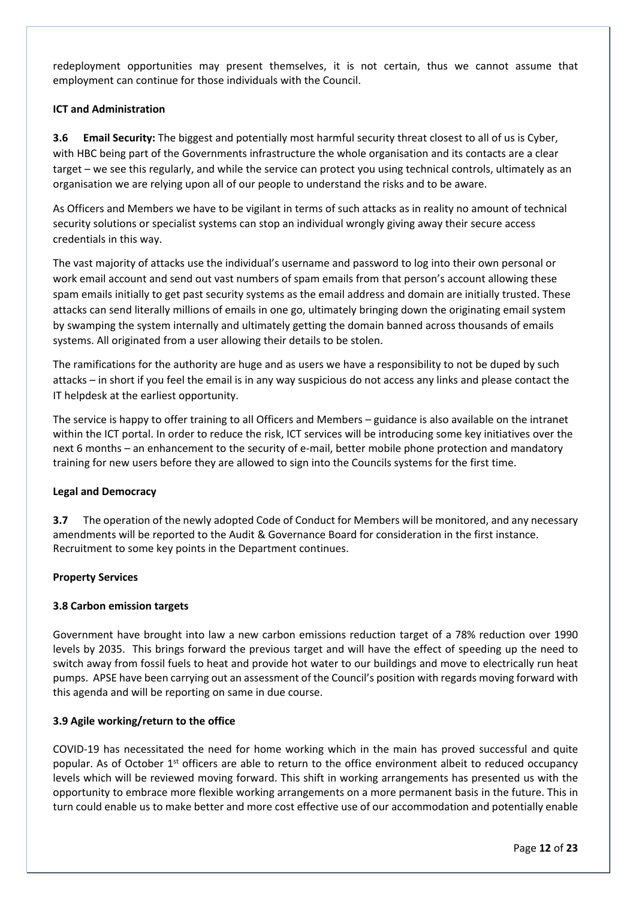redeployment opportunities may present themselves, it is not certain, thus we cannot assume that employment can continue for those individuals with the Council.

# **ICT and Administration**

**3.6 Email Security:** The biggest and potentially most harmful security threat closest to all of us is Cyber, with HBC being part of the Governments infrastructure the whole organisation and its contacts are a clear target – we see this regularly, and while the service can protect you using technical controls, ultimately as an organisation we are relying upon all of our people to understand the risks and to be aware.

As Officers and Members we have to be vigilant in terms of such attacks as in reality no amount of technical security solutions or specialist systems can stop an individual wrongly giving away their secure access credentials in this way.

The vast majority of attacks use the individual's username and password to log into their own personal or work email account and send out vast numbers of spam emails from that person's account allowing these spam emails initially to get past security systems as the email address and domain are initially trusted. These attacks can send literally millions of emails in one go, ultimately bringing down the originating email system by swamping the system internally and ultimately getting the domain banned across thousands of emails systems. All originated from a user allowing their details to be stolen.

The ramifications for the authority are huge and as users we have a responsibility to not be duped by such attacks – in short if you feel the email is in any way suspicious do not access any links and please contact the IT helpdesk at the earliest opportunity.

The service is happy to offer training to all Officers and Members – guidance is also available on the intranet within the ICT portal. In order to reduce the risk, ICT services will be introducing some key initiatives over the next 6 months – an enhancement to the security of e-mail, better mobile phone protection and mandatory training for new users before they are allowed to sign into the Councils systems for the first time.

## **Legal and Democracy**

**3.7** The operation of the newly adopted Code of Conduct for Members will be monitored, and any necessary amendments will be reported to the Audit & Governance Board for consideration in the first instance. Recruitment to some key points in the Department continues.

## **Property Services**

## **3.8 Carbon emission targets**

Government have brought into law a new carbon emissions reduction target of a 78% reduction over 1990 levels by 2035. This brings forward the previous target and will have the effect of speeding up the need to switch away from fossil fuels to heat and provide hot water to our buildings and move to electrically run heat pumps. APSE have been carrying out an assessment of the Council's position with regards moving forward with this agenda and will be reporting on same in due course.

## **3.9 Agile working/return to the office**

COVID-19 has necessitated the need for home working which in the main has proved successful and quite popular. As of October 1<sup>st</sup> officers are able to return to the office environment albeit to reduced occupancy levels which will be reviewed moving forward. This shift in working arrangements has presented us with the opportunity to embrace more flexible working arrangements on a more permanent basis in the future. This in turn could enable us to make better and more cost effective use of our accommodation and potentially enable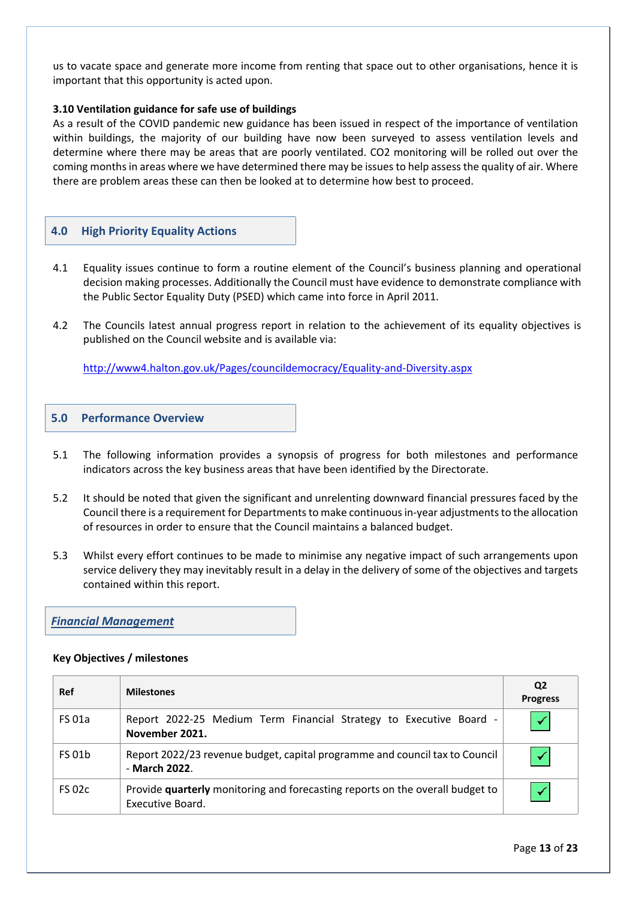us to vacate space and generate more income from renting that space out to other organisations, hence it is important that this opportunity is acted upon.

#### **3.10 Ventilation guidance for safe use of buildings**

As a result of the COVID pandemic new guidance has been issued in respect of the importance of ventilation within buildings, the majority of our building have now been surveyed to assess ventilation levels and determine where there may be areas that are poorly ventilated. CO2 monitoring will be rolled out over the coming months in areas where we have determined there may be issues to help assess the quality of air. Where there are problem areas these can then be looked at to determine how best to proceed.

#### **4.0 High Priority Equality Actions**

- 4.1 Equality issues continue to form a routine element of the Council's business planning and operational decision making processes. Additionally the Council must have evidence to demonstrate compliance with the Public Sector Equality Duty (PSED) which came into force in April 2011.
- 4.2 The Councils latest annual progress report in relation to the achievement of its equality objectives is published on the Council website and is available via:

<http://www4.halton.gov.uk/Pages/councildemocracy/Equality-and-Diversity.aspx>

#### **5.0 Performance Overview**

- 5.1 The following information provides a synopsis of progress for both milestones and performance indicators across the key business areas that have been identified by the Directorate.
- 5.2 It should be noted that given the significant and unrelenting downward financial pressures faced by the Council there is a requirement for Departments to make continuous in-year adjustments to the allocation of resources in order to ensure that the Council maintains a balanced budget.
- 5.3 Whilst every effort continues to be made to minimise any negative impact of such arrangements upon service delivery they may inevitably result in a delay in the delivery of some of the objectives and targets contained within this report.

# *Financial Management*

#### **Key Objectives / milestones**

| Ref           | <b>Milestones</b>                                                                                 | Q2<br><b>Progress</b> |
|---------------|---------------------------------------------------------------------------------------------------|-----------------------|
| <b>FS 01a</b> | Report 2022-25 Medium Term Financial Strategy to Executive Board -<br>November 2021.              |                       |
| <b>FS 01b</b> | Report 2022/23 revenue budget, capital programme and council tax to Council<br>- March 2022.      |                       |
| <b>FS 02c</b> | Provide quarterly monitoring and forecasting reports on the overall budget to<br>Executive Board. |                       |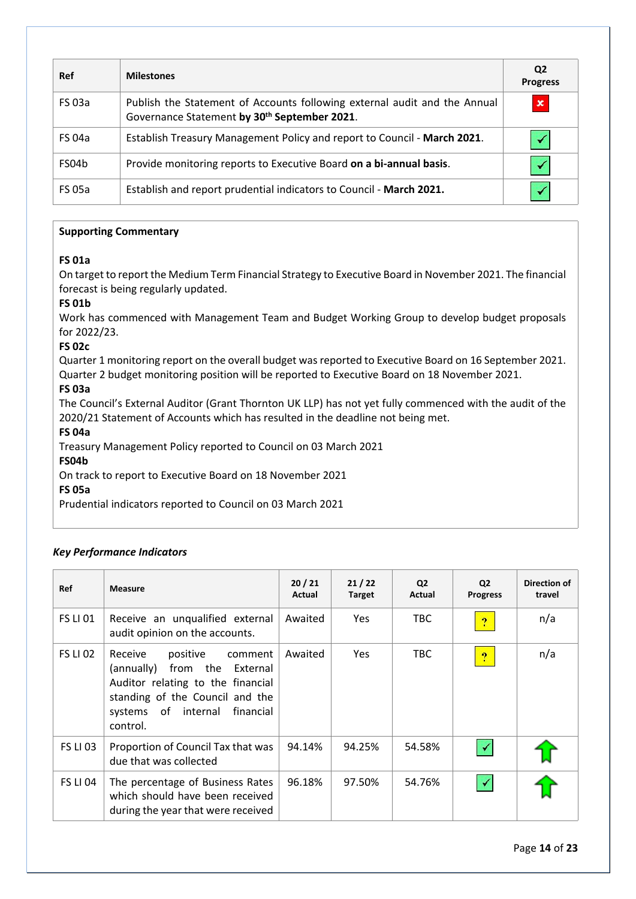| <b>Ref</b>    | <b>Milestones</b>                                                                                                         | Q <sub>2</sub><br><b>Progress</b> |
|---------------|---------------------------------------------------------------------------------------------------------------------------|-----------------------------------|
| <b>FS 03a</b> | Publish the Statement of Accounts following external audit and the Annual<br>Governance Statement by 30th September 2021. | $\pmb{\times}$                    |
| <b>FS 04a</b> | Establish Treasury Management Policy and report to Council - March 2021.                                                  |                                   |
| FS04b         | Provide monitoring reports to Executive Board on a bi-annual basis.                                                       |                                   |
| <b>FS 05a</b> | Establish and report prudential indicators to Council - March 2021.                                                       |                                   |

# **FS 01a**

On target to report the Medium Term Financial Strategy to Executive Board in November 2021. The financial forecast is being regularly updated.

# **FS 01b**

Work has commenced with Management Team and Budget Working Group to develop budget proposals for 2022/23.

# **FS 02c**

Quarter 1 monitoring report on the overall budget was reported to Executive Board on 16 September 2021. Quarter 2 budget monitoring position will be reported to Executive Board on 18 November 2021.

# **FS 03a**

The Council's External Auditor (Grant Thornton UK LLP) has not yet fully commenced with the audit of the 2020/21 Statement of Accounts which has resulted in the deadline not being met.

## **FS 04a**

Treasury Management Policy reported to Council on 03 March 2021

## **FS04b**

On track to report to Executive Board on 18 November 2021

## **FS 05a**

Prudential indicators reported to Council on 03 March 2021

## *Key Performance Indicators*

| Ref             | <b>Measure</b>                                                                                                                                                                            | 20/21<br>Actual | 21/22<br><b>Target</b> | Q <sub>2</sub><br>Actual | Q <sub>2</sub><br><b>Progress</b> | Direction of<br>travel |
|-----------------|-------------------------------------------------------------------------------------------------------------------------------------------------------------------------------------------|-----------------|------------------------|--------------------------|-----------------------------------|------------------------|
| <b>FS LI 01</b> | Receive an unqualified external<br>audit opinion on the accounts.                                                                                                                         | Awaited         | <b>Yes</b>             | TBC.                     | $\boldsymbol{v}$                  | n/a                    |
| <b>FS LI 02</b> | Receive<br>positive<br>comment<br>from the External<br>(annually)<br>Auditor relating to the financial<br>standing of the Council and the<br>systems of internal<br>financial<br>control. | Awaited         | <b>Yes</b>             | <b>TBC</b>               | $\mathbf{P}$                      | n/a                    |
| <b>FS LI 03</b> | Proportion of Council Tax that was<br>due that was collected                                                                                                                              | 94.14%          | 94.25%                 | 54.58%                   |                                   |                        |
| <b>FS LI 04</b> | The percentage of Business Rates<br>which should have been received<br>during the year that were received                                                                                 | 96.18%          | 97.50%                 | 54.76%                   |                                   |                        |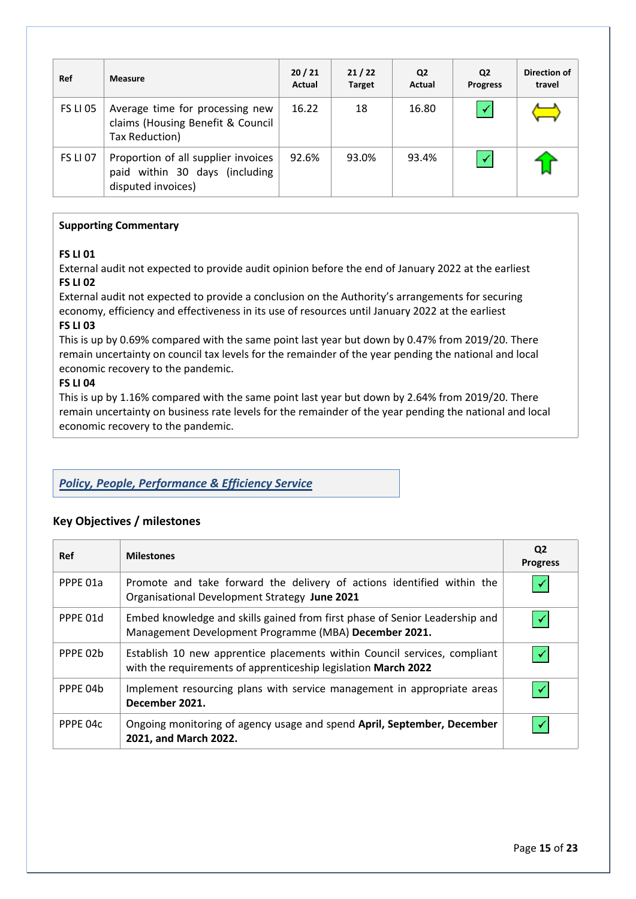| <b>Ref</b>      | <b>Measure</b>                                                                              | 20/21<br>Actual | 21/22<br><b>Target</b> | Q <sub>2</sub><br>Actual | Q2<br><b>Progress</b> | Direction of<br>travel |
|-----------------|---------------------------------------------------------------------------------------------|-----------------|------------------------|--------------------------|-----------------------|------------------------|
| <b>FS LI 05</b> | Average time for processing new<br>claims (Housing Benefit & Council<br>Tax Reduction)      | 16.22           | 18                     | 16.80                    |                       |                        |
| <b>FS LI 07</b> | Proportion of all supplier invoices<br>paid within 30 days (including<br>disputed invoices) | 92.6%           | 93.0%                  | 93.4%                    |                       |                        |

# **FS LI 01**

External audit not expected to provide audit opinion before the end of January 2022 at the earliest **FS LI 02**

External audit not expected to provide a conclusion on the Authority's arrangements for securing economy, efficiency and effectiveness in its use of resources until January 2022 at the earliest

# **FS LI 03**

This is up by 0.69% compared with the same point last year but down by 0.47% from 2019/20. There remain uncertainty on council tax levels for the remainder of the year pending the national and local economic recovery to the pandemic.

# **FS LI 04**

This is up by 1.16% compared with the same point last year but down by 2.64% from 2019/20. There remain uncertainty on business rate levels for the remainder of the year pending the national and local economic recovery to the pandemic.

# *Policy, People, Performance & Efficiency Service*

# **Key Objectives / milestones**

| <b>Ref</b> | <b>Milestones</b>                                                                                                                           | Q2<br><b>Progress</b> |
|------------|---------------------------------------------------------------------------------------------------------------------------------------------|-----------------------|
| PPPF 01a   | Promote and take forward the delivery of actions identified within the<br>Organisational Development Strategy June 2021                     |                       |
| PPPE 01d   | Embed knowledge and skills gained from first phase of Senior Leadership and<br>Management Development Programme (MBA) December 2021.        |                       |
| PPPE 02b   | Establish 10 new apprentice placements within Council services, compliant<br>with the requirements of apprenticeship legislation March 2022 |                       |
| PPPE 04b   | Implement resourcing plans with service management in appropriate areas<br>December 2021.                                                   |                       |
| PPPE 04c   | Ongoing monitoring of agency usage and spend April, September, December<br>2021, and March 2022.                                            |                       |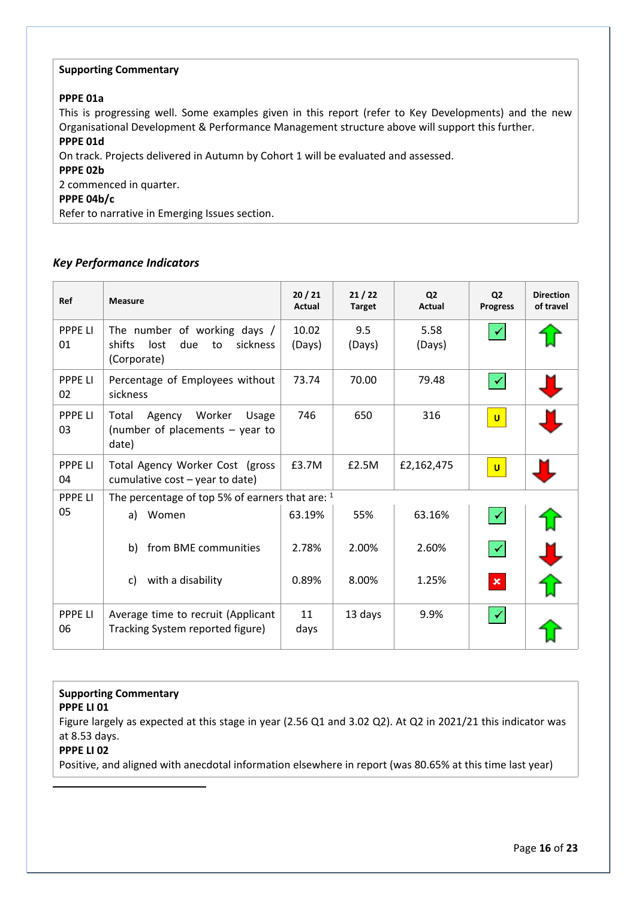## **PPPE 01a**

This is progressing well. Some examples given in this report (refer to Key Developments) and the new Organisational Development & Performance Management structure above will support this further.

# **PPPE 01d**

On track. Projects delivered in Autumn by Cohort 1 will be evaluated and assessed.

**PPPE 02b**

2 commenced in quarter.

#### **PPPE 04b/c**

Refer to narrative in Emerging Issues section.

# *Key Performance Indicators*

| Ref                  | <b>Measure</b>                                                                         | 20/21<br>Actual | 21/22<br><b>Target</b> | Q <sub>2</sub><br><b>Actual</b> | Q <sub>2</sub><br><b>Progress</b> | <b>Direction</b><br>of travel |
|----------------------|----------------------------------------------------------------------------------------|-----------------|------------------------|---------------------------------|-----------------------------------|-------------------------------|
| <b>PPPE LI</b><br>01 | The number of working days /<br>shifts<br>due<br>lost<br>sickness<br>to<br>(Corporate) | 10.02<br>(Days) | 9.5<br>(Days)          | 5.58<br>(Days)                  |                                   |                               |
| <b>PPPE LI</b><br>02 | Percentage of Employees without<br>sickness                                            | 73.74           | 70.00                  | 79.48                           |                                   |                               |
| <b>PPPE LI</b><br>03 | Agency<br>Worker<br>Total<br>Usage<br>(number of placements $-$ year to<br>date)       | 746             | 650                    | 316                             | $\mathbf{U}$                      |                               |
| <b>PPPE LI</b><br>04 | Total Agency Worker Cost (gross<br>cumulative cost - year to date)                     | £3.7M           | £2.5M                  | £2,162,475                      | $\mathbf{U}$                      |                               |
| <b>PPPE LI</b>       | The percentage of top 5% of earners that are: 1                                        |                 |                        |                                 |                                   |                               |
| 05                   | Women<br>a)                                                                            | 63.19%          | 55%                    | 63.16%                          |                                   |                               |
|                      | from BME communities<br>b)                                                             | 2.78%           | 2.00%                  | 2.60%                           |                                   |                               |
|                      | with a disability<br>C)                                                                | 0.89%           | 8.00%                  | 1.25%                           | $\pmb{\times}$                    |                               |
| <b>PPPE LI</b><br>06 | Average time to recruit (Applicant<br>Tracking System reported figure)                 | 11<br>days      | 13 days                | 9.9%                            |                                   |                               |

## **Supporting Commentary**

**PPPE LI 01**

Figure largely as expected at this stage in year (2.56 Q1 and 3.02 Q2). At Q2 in 2021/21 this indicator was at 8.53 days.

# **PPPE LI 02**

Positive, and aligned with anecdotal information elsewhere in report (was 80.65% at this time last year)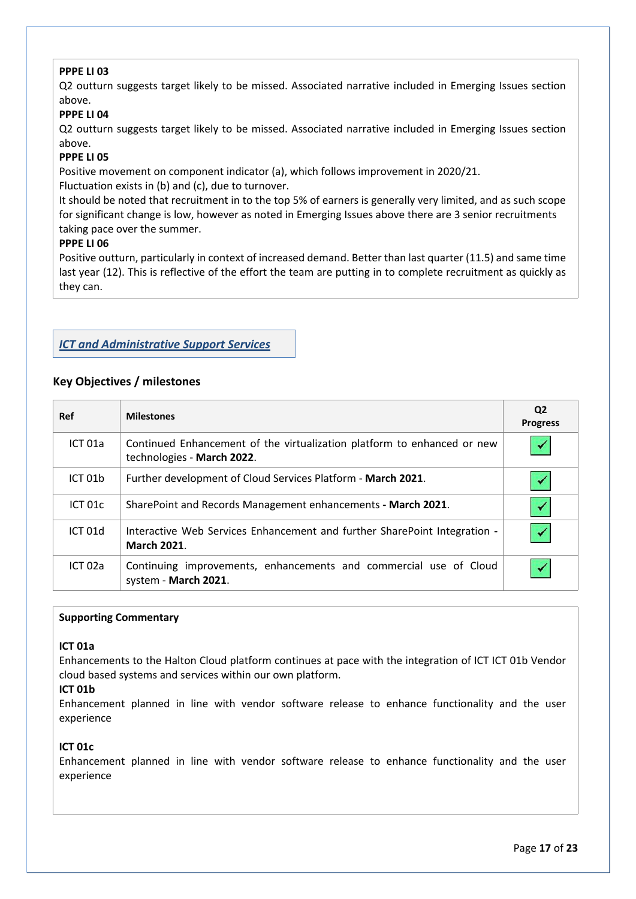# **PPPE LI 03**

Q2 outturn suggests target likely to be missed. Associated narrative included in Emerging Issues section above.

# **PPPE LI 04**

Q2 outturn suggests target likely to be missed. Associated narrative included in Emerging Issues section above.

# **PPPE LI 05**

Positive movement on component indicator (a), which follows improvement in 2020/21. Fluctuation exists in (b) and (c), due to turnover.

It should be noted that recruitment in to the top 5% of earners is generally very limited, and as such scope for significant change is low, however as noted in Emerging Issues above there are 3 senior recruitments taking pace over the summer.

#### **PPPE LI 06**

Positive outturn, particularly in context of increased demand. Better than last quarter (11.5) and same time last year (12). This is reflective of the effort the team are putting in to complete recruitment as quickly as they can.

# *ICT and Administrative Support Services*

# **Key Objectives / milestones**

| Ref                | <b>Milestones</b>                                                                                     | Q <sub>2</sub><br><b>Progress</b> |
|--------------------|-------------------------------------------------------------------------------------------------------|-----------------------------------|
| ICT <sub>01a</sub> | Continued Enhancement of the virtualization platform to enhanced or new<br>technologies - March 2022. |                                   |
| ICT 01b            | Further development of Cloud Services Platform - March 2021.                                          |                                   |
| ICT 01c            | SharePoint and Records Management enhancements - March 2021.                                          |                                   |
| ICT 01d            | Interactive Web Services Enhancement and further SharePoint Integration -<br><b>March 2021.</b>       |                                   |
| ICT 02a            | Continuing improvements, enhancements and commercial use of Cloud<br>system - March 2021.             |                                   |

## **Supporting Commentary**

#### **ICT 01a**

Enhancements to the Halton Cloud platform continues at pace with the integration of ICT ICT 01b Vendor cloud based systems and services within our own platform.

## **ICT 01b**

Enhancement planned in line with vendor software release to enhance functionality and the user experience

## **ICT 01c**

Enhancement planned in line with vendor software release to enhance functionality and the user experience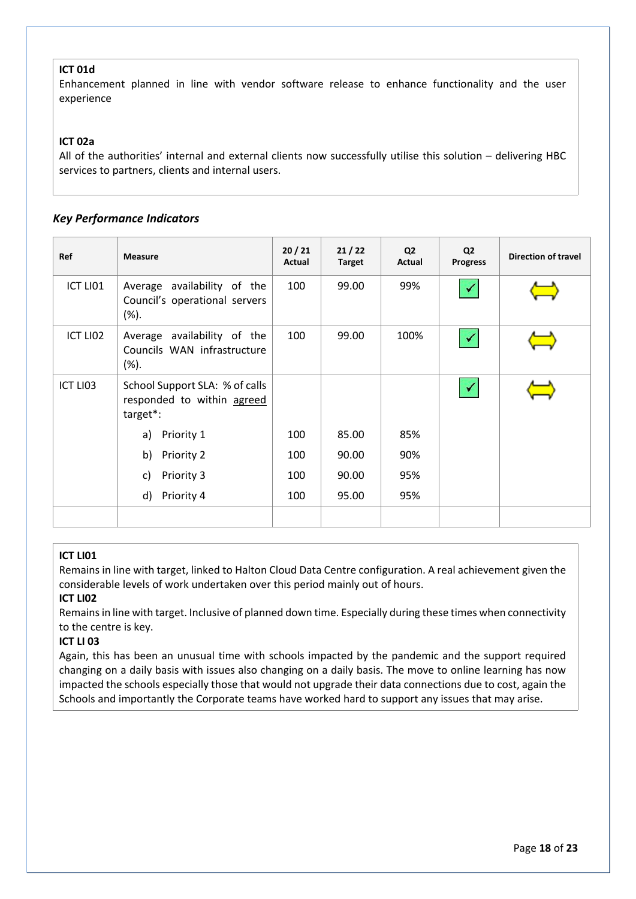# **ICT 01d**

Enhancement planned in line with vendor software release to enhance functionality and the user experience

# **ICT 02a**

All of the authorities' internal and external clients now successfully utilise this solution – delivering HBC services to partners, clients and internal users.

# *Key Performance Indicators*

| Ref                  | <b>Measure</b>                                                           | 20/21<br>Actual | 21/22<br><b>Target</b> | Q <sub>2</sub><br>Actual | Q <sub>2</sub><br><b>Progress</b> | <b>Direction of travel</b> |
|----------------------|--------------------------------------------------------------------------|-----------------|------------------------|--------------------------|-----------------------------------|----------------------------|
| ICT LI01             | Average availability of the<br>Council's operational servers<br>$(\%).$  | 100             | 99.00                  | 99%                      |                                   |                            |
| ICT LIO <sub>2</sub> | Average availability of the<br>Councils WAN infrastructure<br>(%).       | 100             | 99.00                  | 100%                     |                                   |                            |
| ICT LI03             | School Support SLA: % of calls<br>responded to within agreed<br>target*: |                 |                        |                          |                                   |                            |
|                      | a) Priority 1                                                            | 100             | 85.00                  | 85%                      |                                   |                            |
|                      | Priority 2<br>b)                                                         | 100             | 90.00                  | 90%                      |                                   |                            |
|                      | Priority 3<br>C)                                                         | 100             | 90.00                  | 95%                      |                                   |                            |
|                      | d)<br>Priority 4                                                         | 100             | 95.00                  | 95%                      |                                   |                            |
|                      |                                                                          |                 |                        |                          |                                   |                            |

## **ICT LI01**

Remains in line with target, linked to Halton Cloud Data Centre configuration. A real achievement given the considerable levels of work undertaken over this period mainly out of hours.

## **ICT LI02**

Remains in line with target. Inclusive of planned down time. Especially during these times when connectivity to the centre is key.

## **ICT LI 03**

Again, this has been an unusual time with schools impacted by the pandemic and the support required changing on a daily basis with issues also changing on a daily basis. The move to online learning has now impacted the schools especially those that would not upgrade their data connections due to cost, again the Schools and importantly the Corporate teams have worked hard to support any issues that may arise.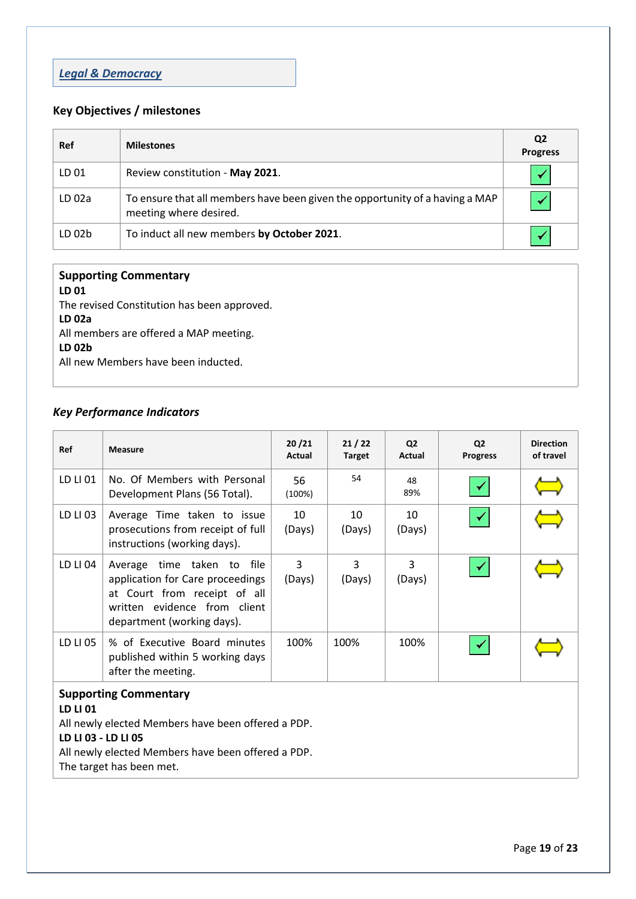# *Legal & Democracy*

# **Key Objectives / milestones**

| <b>Ref</b>        | <b>Milestones</b>                                                                                      | Q <sub>2</sub><br><b>Progress</b> |
|-------------------|--------------------------------------------------------------------------------------------------------|-----------------------------------|
| LD 01             | Review constitution - May 2021.                                                                        |                                   |
| LD <sub>02a</sub> | To ensure that all members have been given the opportunity of a having a MAP<br>meeting where desired. |                                   |
| LD <sub>02b</sub> | To induct all new members by October 2021.                                                             |                                   |

# **Supporting Commentary LD 01** The revised Constitution has been approved.

**LD 02a** All members are offered a MAP meeting. **LD 02b** All new Members have been inducted.

# *Key Performance Indicators*

| Ref                                                                                                                                                                                                     | <b>Measure</b>                                                                                                                                               | 20/21<br>Actual | 21/22<br><b>Target</b> | Q <sub>2</sub><br>Actual | <b>Q2</b><br><b>Progress</b> | <b>Direction</b><br>of travel |
|---------------------------------------------------------------------------------------------------------------------------------------------------------------------------------------------------------|--------------------------------------------------------------------------------------------------------------------------------------------------------------|-----------------|------------------------|--------------------------|------------------------------|-------------------------------|
| LD LI 01                                                                                                                                                                                                | No. Of Members with Personal<br>Development Plans (56 Total).                                                                                                | 56<br>(100%)    | 54                     | 48<br>89%                |                              |                               |
| LD LI 03                                                                                                                                                                                                | Average Time taken to issue<br>prosecutions from receipt of full<br>instructions (working days).                                                             | 10<br>(Days)    | 10<br>(Days)           | 10<br>(Days)             |                              |                               |
| LD LI 04                                                                                                                                                                                                | Average time taken to file<br>application for Care proceedings<br>at Court from receipt of all<br>written evidence from client<br>department (working days). | 3<br>(Days)     | 3<br>(Days)            | 3<br>(Days)              |                              |                               |
| LD LI 05                                                                                                                                                                                                | % of Executive Board minutes<br>published within 5 working days<br>after the meeting.                                                                        | 100%            | 100%                   | 100%                     |                              |                               |
| <b>Supporting Commentary</b><br>LD LI 01<br>All newly elected Members have been offered a PDP.<br>LD LI 03 - LD LI 05<br>All newly elected Members have been offered a PDP.<br>The target has been met. |                                                                                                                                                              |                 |                        |                          |                              |                               |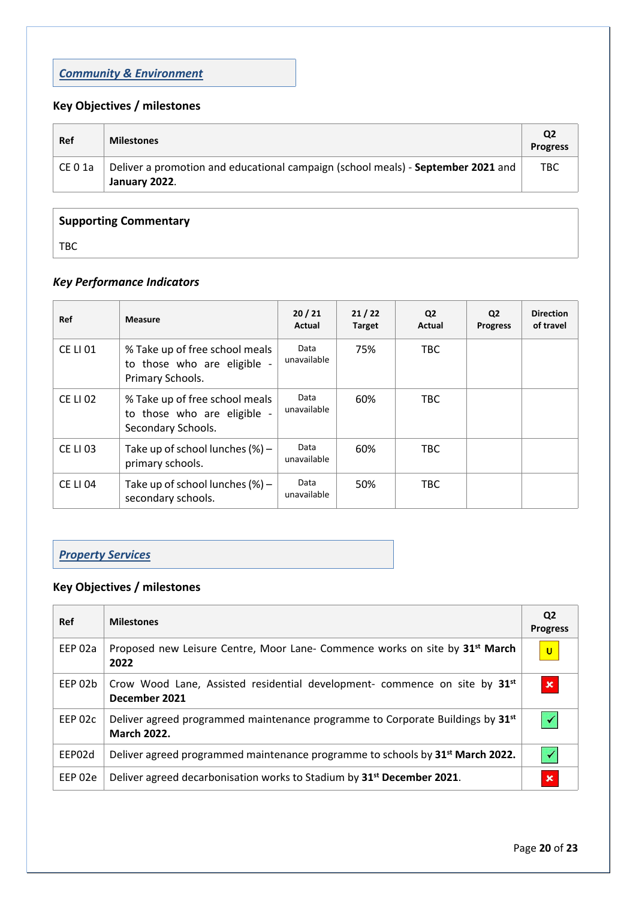# *Community & Environment*

# **Key Objectives / milestones**

| Ref     | <b>Milestones</b>                                                                                 | Q2<br><b>Progress</b> |
|---------|---------------------------------------------------------------------------------------------------|-----------------------|
| CE 0 1a | Deliver a promotion and educational campaign (school meals) - September 2021 and<br>January 2022. | TBC.                  |

| <b>Supporting Commentary</b>     |  |
|----------------------------------|--|
| $\mathsf{T}\mathsf{B}\mathsf{C}$ |  |

# *Key Performance Indicators*

| Ref             | <b>Measure</b>                                                                    | 20/21<br>Actual     | 21/22<br><b>Target</b> | Q <sub>2</sub><br>Actual | Q <sub>2</sub><br><b>Progress</b> | <b>Direction</b><br>of travel |
|-----------------|-----------------------------------------------------------------------------------|---------------------|------------------------|--------------------------|-----------------------------------|-------------------------------|
| <b>CE LI 01</b> | % Take up of free school meals<br>to those who are eligible<br>Primary Schools.   | Data<br>unavailable | 75%                    | TBC                      |                                   |                               |
| <b>CE LI 02</b> | % Take up of free school meals<br>to those who are eligible<br>Secondary Schools. | Data<br>unavailable | 60%                    | TBC.                     |                                   |                               |
| <b>CE LI 03</b> | Take up of school lunches $(\%)$ -<br>primary schools.                            | Data<br>unavailable | 60%                    | TBC.                     |                                   |                               |
| <b>CE LI 04</b> | Take up of school lunches $(\%)$ -<br>secondary schools.                          | Data<br>unavailable | 50%                    | <b>TBC</b>               |                                   |                               |

# *Property Services*

# **Key Objectives / milestones**

| Ref     | <b>Milestones</b>                                                                                       | Q <sub>2</sub><br><b>Progress</b> |
|---------|---------------------------------------------------------------------------------------------------------|-----------------------------------|
| EEP 02a | Proposed new Leisure Centre, Moor Lane- Commence works on site by 31 <sup>st</sup> March<br>2022        | $\mathsf{U}$                      |
| EEP 02b | Crow Wood Lane, Assisted residential development- commence on site by 31 <sup>st</sup><br>December 2021 | $\boldsymbol{\mathsf{x}}$         |
| EEP 02c | Deliver agreed programmed maintenance programme to Corporate Buildings by 31st<br><b>March 2022.</b>    |                                   |
| EEP02d  | Deliver agreed programmed maintenance programme to schools by 31 <sup>st</sup> March 2022.              |                                   |
| EEP 02e | Deliver agreed decarbonisation works to Stadium by 31 <sup>st</sup> December 2021.                      | $\mathbf x$                       |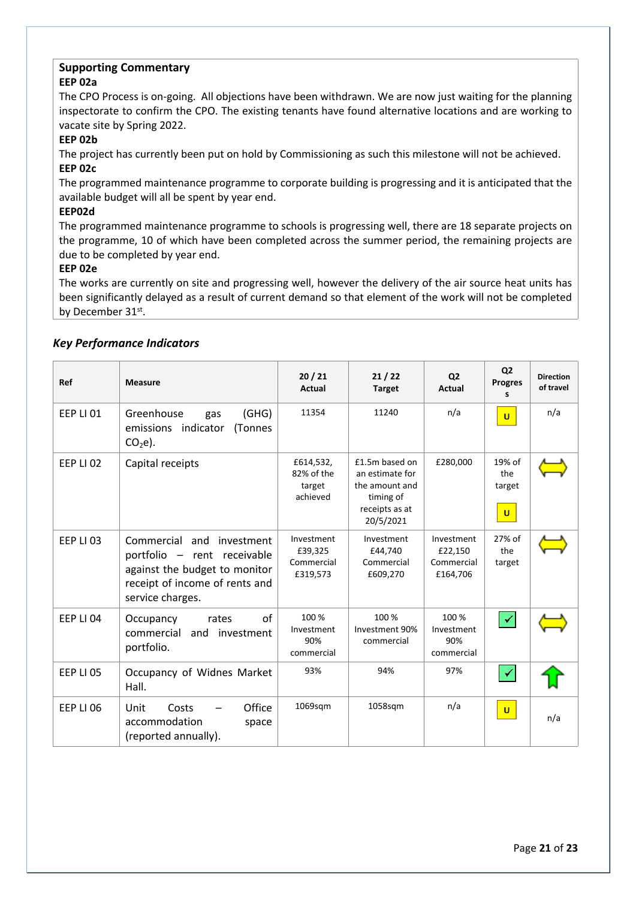# **EEP 02a**

The CPO Process is on-going. All objections have been withdrawn. We are now just waiting for the planning inspectorate to confirm the CPO. The existing tenants have found alternative locations and are working to vacate site by Spring 2022.

# **EEP 02b**

The project has currently been put on hold by Commissioning as such this milestone will not be achieved. **EEP 02c**

The programmed maintenance programme to corporate building is progressing and it is anticipated that the available budget will all be spent by year end.

# **EEP02d**

The programmed maintenance programme to schools is progressing well, there are 18 separate projects on the programme, 10 of which have been completed across the summer period, the remaining projects are due to be completed by year end.

# **EEP 02e**

The works are currently on site and progressing well, however the delivery of the air source heat units has been significantly delayed as a result of current demand so that element of the work will not be completed by December 31st.

# *Key Performance Indicators*

| Ref              | <b>Measure</b>                                                                                                                                  | 20/21<br><b>Actual</b>                          | 21/22<br><b>Target</b>                                                                          | Q <sub>2</sub><br>Actual                        | Q <sub>2</sub><br><b>Progres</b><br>s   | <b>Direction</b><br>of travel |
|------------------|-------------------------------------------------------------------------------------------------------------------------------------------------|-------------------------------------------------|-------------------------------------------------------------------------------------------------|-------------------------------------------------|-----------------------------------------|-------------------------------|
| FFP LI 01        | Greenhouse<br>(GHG)<br>gas<br>emissions indicator<br>(Tonnes<br>$CO2e$ ).                                                                       | 11354                                           | 11240                                                                                           | n/a                                             | $\mathbf{U}$                            | n/a                           |
| <b>EEP LI 02</b> | Capital receipts                                                                                                                                | £614,532,<br>82% of the<br>target<br>achieved   | £1.5m based on<br>an estimate for<br>the amount and<br>timing of<br>receipts as at<br>20/5/2021 | £280,000                                        | 19% of<br>the<br>target<br>$\mathbf{U}$ |                               |
| <b>EEP LI 03</b> | Commercial and investment<br>portfolio - rent receivable<br>against the budget to monitor<br>receipt of income of rents and<br>service charges. | Investment<br>£39,325<br>Commercial<br>£319,573 | Investment<br>£44,740<br>Commercial<br>£609,270                                                 | Investment<br>£22,150<br>Commercial<br>£164,706 | 27% of<br>the<br>target                 |                               |
| <b>EEP LI 04</b> | Occupancy<br>οf<br>rates<br>commercial<br>and investment<br>portfolio.                                                                          | 100 %<br>Investment<br>90%<br>commercial        | 100 %<br>Investment 90%<br>commercial                                                           | 100 %<br>Investment<br>90%<br>commercial        | $\checkmark$                            |                               |
| <b>EEP LI 05</b> | Occupancy of Widnes Market<br>Hall.                                                                                                             | 93%                                             | 94%                                                                                             | 97%                                             | $\checkmark$                            |                               |
| EEP LI 06        | Office<br>Unit<br>Costs<br>accommodation<br>space<br>(reported annually).                                                                       | 1069sqm                                         | 1058sqm                                                                                         | n/a                                             | $\mathbf{U}$                            | n/a                           |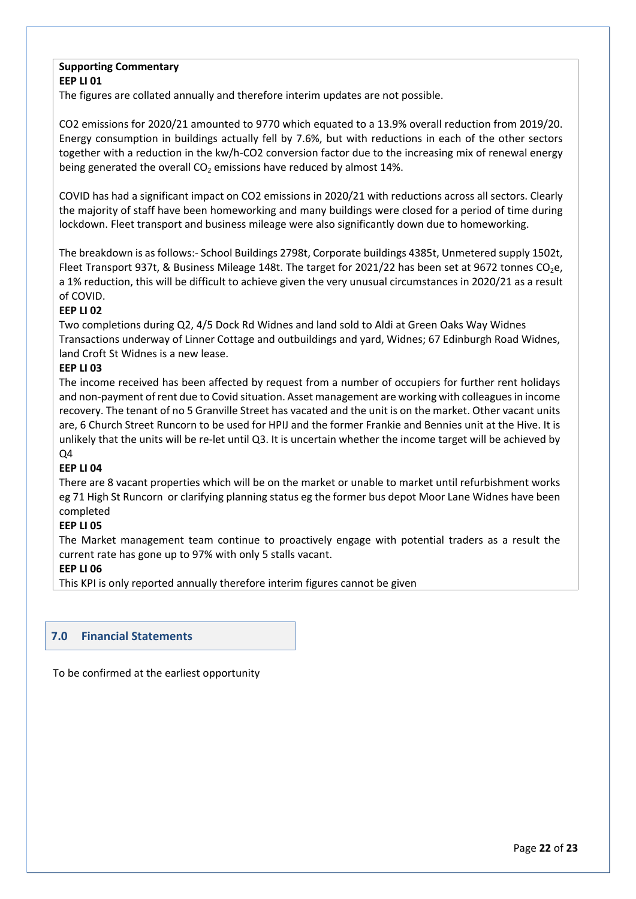# **Supporting Commentary EEP LI 01**

The figures are collated annually and therefore interim updates are not possible.

CO2 emissions for 2020/21 amounted to 9770 which equated to a 13.9% overall reduction from 2019/20. Energy consumption in buildings actually fell by 7.6%, but with reductions in each of the other sectors together with a reduction in the kw/h-CO2 conversion factor due to the increasing mix of renewal energy being generated the overall  $CO<sub>2</sub>$  emissions have reduced by almost 14%.

COVID has had a significant impact on CO2 emissions in 2020/21 with reductions across all sectors. Clearly the majority of staff have been homeworking and many buildings were closed for a period of time during lockdown. Fleet transport and business mileage were also significantly down due to homeworking.

The breakdown is asfollows:- School Buildings 2798t, Corporate buildings 4385t, Unmetered supply 1502t, Fleet Transport 937t, & Business Mileage 148t. The target for 2021/22 has been set at 9672 tonnes CO<sub>2</sub>e, a 1% reduction, this will be difficult to achieve given the very unusual circumstances in 2020/21 as a result of COVID.

# **EEP LI 02**

Two completions during Q2, 4/5 Dock Rd Widnes and land sold to Aldi at Green Oaks Way Widnes Transactions underway of Linner Cottage and outbuildings and yard, Widnes; 67 Edinburgh Road Widnes, land Croft St Widnes is a new lease.

# **EEP LI 03**

The income received has been affected by request from a number of occupiers for further rent holidays and non-payment of rent due to Covid situation. Asset management are working with colleagues in income recovery. The tenant of no 5 Granville Street has vacated and the unit is on the market. Other vacant units are, 6 Church Street Runcorn to be used for HPIJ and the former Frankie and Bennies unit at the Hive. It is unlikely that the units will be re-let until Q3. It is uncertain whether the income target will be achieved by Q4

# **EEP LI 04**

There are 8 vacant properties which will be on the market or unable to market until refurbishment works eg 71 High St Runcorn or clarifying planning status eg the former bus depot Moor Lane Widnes have been completed

# **EEP LI 05**

The Market management team continue to proactively engage with potential traders as a result the current rate has gone up to 97% with only 5 stalls vacant.

## **EEP LI 06**

This KPI is only reported annually therefore interim figures cannot be given

# **7.0 Financial Statements**

To be confirmed at the earliest opportunity